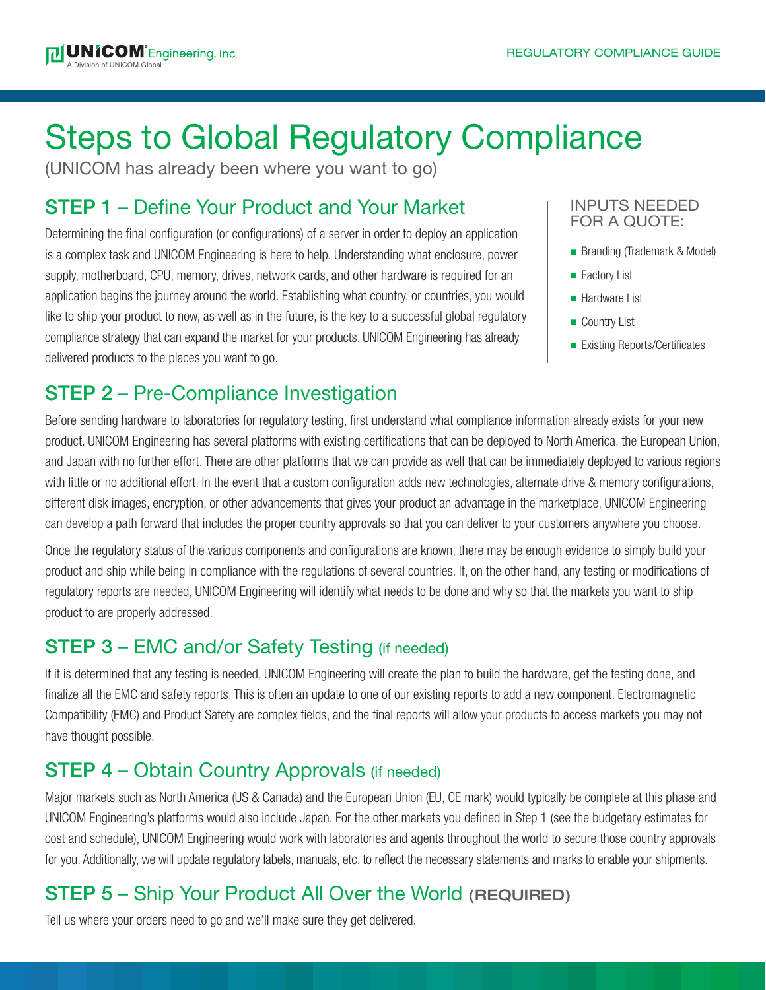# Steps to Global Regulatory Compliance

(UNICOM has already been where you want to go)

# **STEP 1** – Define Your Product and Your Market

Determining the final configuration (or configurations) of a server in order to deploy an application is a complex task and UNICOM Engineering is here to help. Understanding what enclosure, power supply, motherboard, CPU, memory, drives, network cards, and other hardware is required for an application begins the journey around the world. Establishing what country, or countries, you would like to ship your product to now, as well as in the future, is the key to a successful global regulatory compliance strategy that can expand the market for your products. UNICOM Engineering has already delivered products to the places you want to go.

#### INPUTS NEEDED FOR A QUOTE:

- Branding (Trademark & Model)
- **n** Factory List
- Hardware List
- **n** Country List
- Existing Reports/Certificates

# **STEP 2** – Pre-Compliance Investigation

Before sending hardware to laboratories for regulatory testing, first understand what compliance information already exists for your new product. UNICOM Engineering has several platforms with existing certifications that can be deployed to North America, the European Union, and Japan with no further effort. There are other platforms that we can provide as well that can be immediately deployed to various regions with little or no additional effort. In the event that a custom configuration adds new technologies, alternate drive & memory configurations, different disk images, encryption, or other advancements that gives your product an advantage in the marketplace, UNICOM Engineering can develop a path forward that includes the proper country approvals so that you can deliver to your customers anywhere you choose.

Once the regulatory status of the various components and configurations are known, there may be enough evidence to simply build your product and ship while being in compliance with the regulations of several countries. If, on the other hand, any testing or modifications of regulatory reports are needed, UNICOM Engineering will identify what needs to be done and why so that the markets you want to ship product to are properly addressed.

### **STEP 3** – EMC and/or Safety Testing (if needed)

If it is determined that any testing is needed, UNICOM Engineering will create the plan to build the hardware, get the testing done, and finalize all the EMC and safety reports. This is often an update to one of our existing reports to add a new component. Electromagnetic Compatibility (EMC) and Product Safety are complex fields, and the final reports will allow your products to access markets you may not have thought possible.

# **STEP 4 – Obtain Country Approvals (if needed)**

Major markets such as North America (US & Canada) and the European Union (EU, CE mark) would typically be complete at this phase and UNICOM Engineering's platforms would also include Japan. For the other markets you defined in Step 1 (see the budgetary estimates for cost and schedule), UNICOM Engineering would work with laboratories and agents throughout the world to secure those country approvals for you. Additionally, we will update regulatory labels, manuals, etc. to reflect the necessary statements and marks to enable your shipments.

# **STEP 5** – Ship Your Product All Over the World (REQUIRED)

Tell us where your orders need to go and we'll make sure they get delivered.